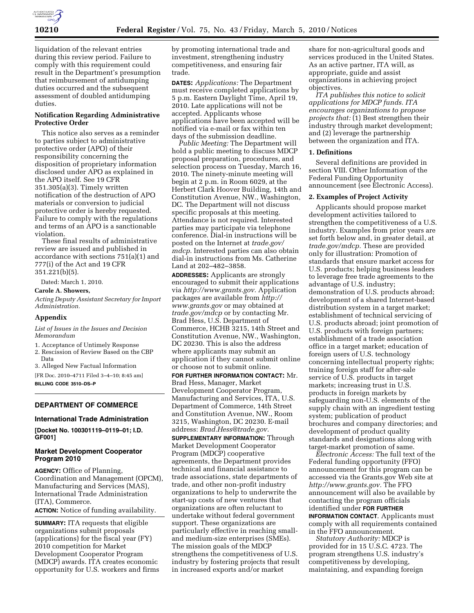

liquidation of the relevant entries during this review period. Failure to comply with this requirement could result in the Department's presumption that reimbursement of antidumping duties occurred and the subsequent assessment of doubled antidumping duties.

## **Notification Regarding Administrative Protective Order**

This notice also serves as a reminder to parties subject to administrative protective order (APO) of their responsibility concerning the disposition of proprietary information disclosed under APO as explained in the APO itself. See 19 CFR 351.305(a)(3). Timely written notification of the destruction of APO materials or conversion to judicial protective order is hereby requested. Failure to comply with the regulations and terms of an APO is a sanctionable violation.

These final results of administrative review are issued and published in accordance with sections 751(a)(1) and 777(i) of the Act and 19 CFR 351.221(b)(5).

Dated: March 1, 2010.

**Carole A. Showers,** 

*Acting Deputy Assistant Secretary for Import Administration.* 

### **Appendix**

*List of Issues in the Issues and Decision Memorandum* 

1. Acceptance of Untimely Response

2. Rescission of Review Based on the CBP Data

3. Alleged New Factual Information

[FR Doc. 2010–4711 Filed 3–4–10; 8:45 am] **BILLING CODE 3510–DS–P** 

# **DEPARTMENT OF COMMERCE**

#### **International Trade Administration**

**[Docket No. 100301119–0119–01; I.D. GF001]** 

## **Market Development Cooperator Program 2010**

**AGENCY:** Office of Planning, Coordination and Management (OPCM), Manufacturing and Services (MAS), International Trade Administration (ITA), Commerce.

**ACTION:** Notice of funding availability.

**SUMMARY:** ITA requests that eligible organizations submit proposals (applications) for the fiscal year (FY) 2010 competition for Market Development Cooperator Program (MDCP) awards. ITA creates economic opportunity for U.S. workers and firms

by promoting international trade and investment, strengthening industry competitiveness, and ensuring fair trade.

**DATES:** *Applications:* The Department must receive completed applications by 5 p.m. Eastern Daylight Time, April 19, 2010. Late applications will not be accepted. Applicants whose applications have been accepted will be notified via e-mail or fax within ten days of the submission deadline.

*Public Meeting:* The Department will hold a public meeting to discuss MDCP proposal preparation, procedures, and selection process on Tuesday, March 16, 2010. The ninety-minute meeting will begin at 2 p.m. in Room 6029, at the Herbert Clark Hoover Building, 14th and Constitution Avenue, NW., Washington, DC. The Department will not discuss specific proposals at this meeting. Attendance is not required. Interested parties may participate via telephone conference. Dial-in instructions will be posted on the Internet at *trade.gov/ mdcp.* Interested parties can also obtain dial-in instructions from Ms. Catherine Land at 202–482–3858.

**ADDRESSES:** Applicants are strongly encouraged to submit their applications via *http://www.grants.gov.* Application packages are available from *http:// www.grants.gov* or may obtained at *trade.gov/mdcp* or by contacting Mr. Brad Hess, U.S. Department of Commerce, HCHB 3215, 14th Street and Constitution Avenue, NW., Washington, DC 20230. This is also the address where applicants may submit an application if they cannot submit online or choose not to submit online.

**FOR FURTHER INFORMATION CONTACT:** Mr. Brad Hess, Manager, Market Development Cooperator Program, Manufacturing and Services, ITA, U.S. Department of Commerce, 14th Street and Constitution Avenue, NW., Room 3215, Washington, DC 20230. E-mail address: *Brad.Hess@trade.gov.* 

**SUPPLEMENTARY INFORMATION:** Through Market Development Cooperator Program (MDCP) cooperative agreements, the Department provides technical and financial assistance to trade associations, state departments of trade, and other non-profit industry organizations to help to underwrite the start-up costs of new ventures that organizations are often reluctant to undertake without federal government support. These organizations are particularly effective in reaching smalland medium-size enterprises (SMEs). The mission goals of the MDCP strengthens the competitiveness of U.S. industry by fostering projects that result in increased exports and/or market

share for non-agricultural goods and services produced in the United States. As an active partner, ITA will, as appropriate, guide and assist organizations in achieving project objectives.

*ITA publishes this notice to solicit applications for MDCP funds. ITA encourages organizations to propose projects that:* (1) Best strengthen their industry through market development; and (2) leverage the partnership between the organization and ITA.

#### **1. Definitions**

Several definitions are provided in section VIII. Other Information of the Federal Funding Opportunity announcement (see Electronic Access).

## **2. Examples of Project Activity**

Applicants should propose market development activities tailored to strengthen the competitiveness of a U.S. industry. Examples from prior years are set forth below and, in greater detail, at *trade.gov/mdcp.* These are provided only for illustration: Promotion of standards that ensure market access for U.S. products; helping business leaders to leverage free trade agreements to the advantage of U.S. industry; demonstration of U.S. products abroad; development of a shared Internet-based distribution system in a target market; establishment of technical servicing of U.S. products abroad; joint promotion of U.S. products with foreign partners; establishment of a trade association office in a target market; education of foreign users of U.S. technology concerning intellectual property rights; training foreign staff for after-sale service of U.S. products in target markets; increasing trust in U.S. products in foreign markets by safeguarding non-U.S. elements of the supply chain with an ingredient testing system; publication of product brochures and company directories; and development of product quality standards and designations along with target-market promotion of same.

*Electronic Access:* The full text of the Federal funding opportunity (FFO) announcement for this program can be accessed via the Grants.gov Web site at *http://www.grants.gov.* The FFO announcement will also be available by contacting the program officials identified under **FOR FURTHER INFORMATION CONTACT**. Applicants must

comply with all requirements contained in the FFO announcement.

*Statutory Authority:* MDCP is provided for in 15 U.S.C. 4723. The program strengthens U.S. industry's competitiveness by developing, maintaining, and expanding foreign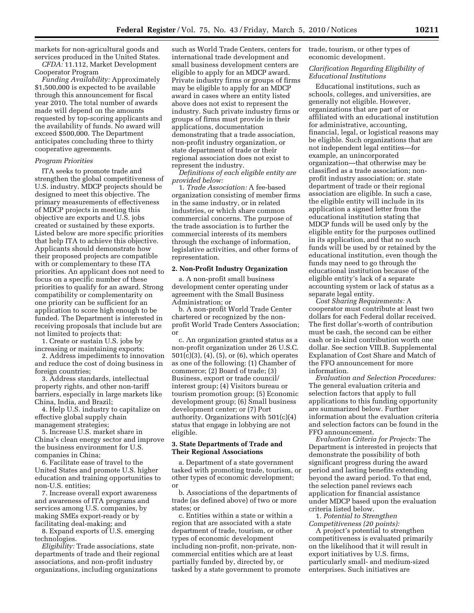markets for non-agricultural goods and services produced in the United States. *CFDA:* 11.112, Market Development

Cooperator Program

*Funding Availability:* Approximately \$1,500,000 is expected to be available through this announcement for fiscal year 2010. The total number of awards made will depend on the amounts requested by top-scoring applicants and the availability of funds. No award will exceed \$500,000. The Department anticipates concluding three to thirty cooperative agreements.

#### *Program Priorities*

ITA seeks to promote trade and strengthen the global competitiveness of U.S. industry. MDCP projects should be designed to meet this objective. The primary measurements of effectiveness of MDCP projects in meeting this objective are exports and U.S. jobs created or sustained by these exports. Listed below are more specific priorities that help ITA to achieve this objective. Applicants should demonstrate how their proposed projects are compatible with or complementary to these ITA priorities. An applicant does not need to focus on a specific number of these priorities to qualify for an award. Strong compatibility or complementarity on one priority can be sufficient for an application to score high enough to be funded. The Department is interested in receiving proposals that include but are not limited to projects that:

1. Create or sustain U.S. jobs by increasing or maintaining exports;

2. Address impediments to innovation and reduce the cost of doing business in foreign countries;

3. Address standards, intellectual property rights, and other non-tariff barriers, especially in large markets like China, India, and Brazil;

4. Help U.S. industry to capitalize on effective global supply chain management strategies;

5. Increase U.S. market share in China's clean energy sector and improve the business environment for U.S. companies in China;

6. Facilitate ease of travel to the United States and promote U.S. higher education and training opportunities to non-U.S. entities;

7. Increase overall export awareness and awareness of ITA programs and services among U.S. companies, by making SMEs export-ready or by facilitating deal-making; and

8. Expand exports of U.S. emerging technologies.

*Eligibility:* Trade associations, state departments of trade and their regional associations, and non-profit industry organizations, including organizations

such as World Trade Centers, centers for international trade development and small business development centers are eligible to apply for an MDCP award. Private industry firms or groups of firms may be eligible to apply for an MDCP award in cases where an entity listed above does not exist to represent the industry. Such private industry firms or groups of firms must provide in their applications, documentation demonstrating that a trade association, non-profit industry organization, or state department of trade or their regional association does not exist to represent the industry.

*Definitions of each eligible entity are provided below:* 

1. *Trade Association:* A fee-based organization consisting of member firms in the same industry, or in related industries, or which share common commercial concerns. The purpose of the trade association is to further the commercial interests of its members through the exchange of information, legislative activities, and other forms of representation.

#### **2. Non-Profit Industry Organization**

a. A non-profit small business development center operating under agreement with the Small Business Administration; or

b. A non-profit World Trade Center chartered or recognized by the nonprofit World Trade Centers Association; or

c. An organization granted status as a non-profit organization under 26 U.S.C. 501(c)(3), (4), (5), or (6), which operates as one of the following: (1) Chamber of commerce; (2) Board of trade; (3) Business, export or trade council/ interest group; (4) Visitors bureau or tourism promotion group; (5) Economic development group; (6) Small business development center; or (7) Port authority. Organizations with 501(c)(4) status that engage in lobbying are not eligible.

#### **3. State Departments of Trade and Their Regional Associations**

a. Department of a state government tasked with promoting trade, tourism, or other types of economic development; or

b. Associations of the departments of trade (as defined above) of two or more states; or

c. Entities within a state or within a region that are associated with a state department of trade, tourism, or other types of economic development including non-profit, non-private, noncommercial entities which are at least partially funded by, directed by, or tasked by a state government to promote trade, tourism, or other types of economic development.

## *Clarification Regarding Eligibility of Educational Institutions*

Educational institutions, such as schools, colleges, and universities, are generally not eligible. However, organizations that are part of or affiliated with an educational institution for administrative, accounting, financial, legal, or logistical reasons may be eligible. Such organizations that are not independent legal entities—for example, an unincorporated organization—that otherwise may be classified as a trade association; nonprofit industry association; or. state department of trade or their regional association are eligible. In such a case, the eligible entity will include in its application a signed letter from the educational institution stating that MDCP funds will be used only by the eligible entity for the purposes outlined in its application, and that no such funds will be used by or retained by the educational institution, even though the funds may need to go through the educational institution because of the eligible entity's lack of a separate accounting system or lack of status as a separate legal entity.

*Cost Sharing Requirements:* A cooperator must contribute at least two dollars for each Federal dollar received. The first dollar's-worth of contribution must be cash, the second can be either cash or in-kind contribution worth one dollar. See section VIII.B. Supplemental Explanation of Cost Share and Match of the FFO announcement for more information.

*Evaluation and Selection Procedures:*  The general evaluation criteria and selection factors that apply to full applications to this funding opportunity are summarized below. Further information about the evaluation criteria and selection factors can be found in the FFO announcement.

*Evaluation Criteria for Projects:* The Department is interested in projects that demonstrate the possibility of both significant progress during the award period and lasting benefits extending beyond the award period. To that end, the selection panel reviews each application for financial assistance under MDCP based upon the evaluation criteria listed below.

1. *Potential to Strengthen Competitiveness (20 points):* 

A project's potential to strengthen competitiveness is evaluated primarily on the likelihood that it will result in export initiatives by U.S. firms, particularly small- and medium-sized enterprises. Such initiatives are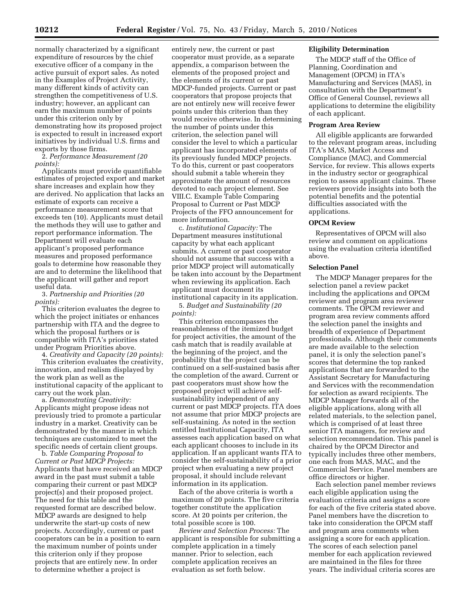normally characterized by a significant expenditure of resources by the chief executive officer of a company in the active pursuit of export sales. As noted in the Examples of Project Activity, many different kinds of activity can strengthen the competitiveness of U.S. industry; however, an applicant can earn the maximum number of points under this criterion only by demonstrating how its proposed project is expected to result in increased export initiatives by individual U.S. firms and exports by those firms.

2. *Performance Measurement (20 points):* 

Applicants must provide quantifiable estimates of projected export and market share increases and explain how they are derived. No application that lacks an estimate of exports can receive a performance measurement score that exceeds ten (10). Applicants must detail the methods they will use to gather and report performance information. The Department will evaluate each applicant's proposed performance measures and proposed performance goals to determine how reasonable they are and to determine the likelihood that the applicant will gather and report useful data.

3. *Partnership and Priorities (20 points):* 

This criterion evaluates the degree to which the project initiates or enhances partnership with ITA and the degree to which the proposal furthers or is compatible with ITA's priorities stated under Program Priorities above.

4. *Creativity and Capacity (20 points):*  This criterion evaluates the creativity, innovation, and realism displayed by the work plan as well as the institutional capacity of the applicant to

carry out the work plan. a. *Demonstrating Creativity:*  Applicants might propose ideas not previously tried to promote a particular industry in a market. Creativity can be demonstrated by the manner in which techniques are customized to meet the specific needs of certain client groups.

b. *Table Comparing Proposal to Current or Past MDCP Projects:*  Applicants that have received an MDCP award in the past must submit a table comparing their current or past MDCP project(s) and their proposed project. The need for this table and the requested format are described below. MDCP awards are designed to help underwrite the start-up costs of new projects. Accordingly, current or past cooperators can be in a position to earn the maximum number of points under this criterion only if they propose projects that are entirely new. In order to determine whether a project is

entirely new, the current or past cooperator must provide, as a separate appendix, a comparison between the elements of the proposed project and the elements of its current or past MDCP-funded projects. Current or past cooperators that propose projects that are not entirely new will receive fewer points under this criterion than they would receive otherwise. In determining the number of points under this criterion, the selection panel will consider the level to which a particular applicant has incorporated elements of its previously funded MDCP projects. To do this, current or past cooperators should submit a table wherein they approximate the amount of resources devoted to each project element. See VIII.C. Example Table Comparing Proposal to Current or Past MDCP Projects of the FFO announcement for more information.

c. *Institutional Capacity:* The Department measures institutional capacity by what each applicant submits. A current or past cooperator should not assume that success with a prior MDCP project will automatically be taken into account by the Department when reviewing its application. Each applicant must document its institutional capacity in its application.

5. *Budget and Sustainability (20 points):* 

This criterion encompasses the reasonableness of the itemized budget for project activities, the amount of the cash match that is readily available at the beginning of the project, and the probability that the project can be continued on a self-sustained basis after the completion of the award. Current or past cooperators must show how the proposed project will achieve selfsustainability independent of any current or past MDCP projects. ITA does not assume that prior MDCP projects are self-sustaining. As noted in the section entitled Institutional Capacity, ITA assesses each application based on what each applicant chooses to include in its application. If an applicant wants ITA to consider the self-sustainability of a prior project when evaluating a new project proposal, it should include relevant information in its application.

Each of the above criteria is worth a maximum of 20 points. The five criteria together constitute the application score. At 20 points per criterion, the total possible score is 100.

*Review and Selection Process:* The applicant is responsible for submitting a complete application in a timely manner. Prior to selection, each complete application receives an evaluation as set forth below.

### **Eligibility Determination**

The MDCP staff of the Office of Planning, Coordination and Management (OPCM) in ITA's Manufacturing and Services (MAS), in consultation with the Department's Office of General Counsel, reviews all applications to determine the eligibility of each applicant.

## **Program Area Review**

All eligible applicants are forwarded to the relevant program areas, including ITA's MAS, Market Access and Compliance (MAC), and Commercial Service, for review. This allows experts in the industry sector or geographical region to assess applicant claims. These reviewers provide insights into both the potential benefits and the potential difficulties associated with the applications.

#### **OPCM Review**

Representatives of OPCM will also review and comment on applications using the evaluation criteria identified above.

#### **Selection Panel**

The MDCP Manager prepares for the selection panel a review packet including the applications and OPCM reviewer and program area reviewer comments. The OPCM reviewer and program area review comments afford the selection panel the insights and breadth of experience of Department professionals. Although their comments are made available to the selection panel, it is only the selection panel's scores that determine the top ranked applications that are forwarded to the Assistant Secretary for Manufacturing and Services with the recommendation for selection as award recipients. The MDCP Manager forwards all of the eligible applications, along with all related materials, to the selection panel, which is comprised of at least three senior ITA managers, for review and selection recommendation. This panel is chaired by the OPCM Director and typically includes three other members, one each from MAS, MAC, and the Commercial Service. Panel members are office directors or higher.

Each selection panel member reviews each eligible application using the evaluation criteria and assigns a score for each of the five criteria stated above. Panel members have the discretion to take into consideration the OPCM staff and program area comments when assigning a score for each application. The scores of each selection panel member for each application reviewed are maintained in the files for three years. The individual criteria scores are